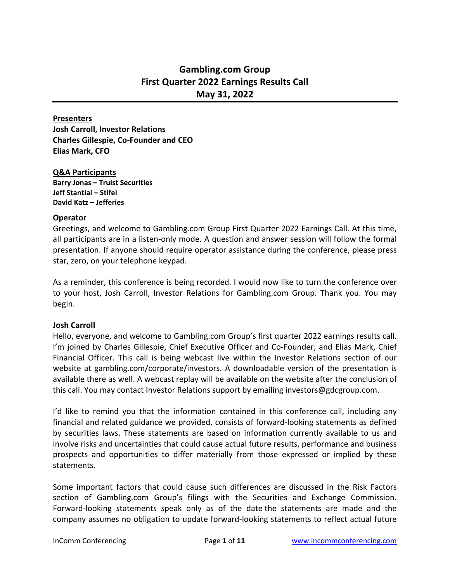# **Gambling.com Group First Quarter 2022 Earnings Results Call May 31, 2022**

### **Presenters**

**Josh Carroll, Investor Relations Charles Gillespie, Co-Founder and CEO Elias Mark, CFO**

#### **Q&A Participants**

**Barry Jonas – Truist Securities Jeff Stantial – Stifel David Katz – Jefferies**

### **Operator**

Greetings, and welcome to Gambling.com Group First Quarter 2022 Earnings Call. At this time, all participants are in a listen-only mode. A question and answer session will follow the formal presentation. If anyone should require operator assistance during the conference, please press star, zero, on your telephone keypad.

As a reminder, this conference is being recorded. I would now like to turn the conference over to your host, Josh Carroll, Investor Relations for Gambling.com Group. Thank you. You may begin.

## **Josh Carroll**

Hello, everyone, and welcome to Gambling.com Group's first quarter 2022 earnings results call. I'm joined by Charles Gillespie, Chief Executive Officer and Co-Founder; and Elias Mark, Chief Financial Officer. This call is being webcast live within the Investor Relations section of our website at gambling.com/corporate/investors. A downloadable version of the presentation is available there as well. A webcast replay will be available on the website after the conclusion of this call. You may contact Investor Relations support by emailing investors@gdcgroup.com.

I'd like to remind you that the information contained in this conference call, including any financial and related guidance we provided, consists of forward-looking statements as defined by securities laws. These statements are based on information currently available to us and involve risks and uncertainties that could cause actual future results, performance and business prospects and opportunities to differ materially from those expressed or implied by these statements.

Some important factors that could cause such differences are discussed in the Risk Factors section of Gambling.com Group's filings with the Securities and Exchange Commission. Forward-looking statements speak only as of the date the statements are made and the company assumes no obligation to update forward-looking statements to reflect actual future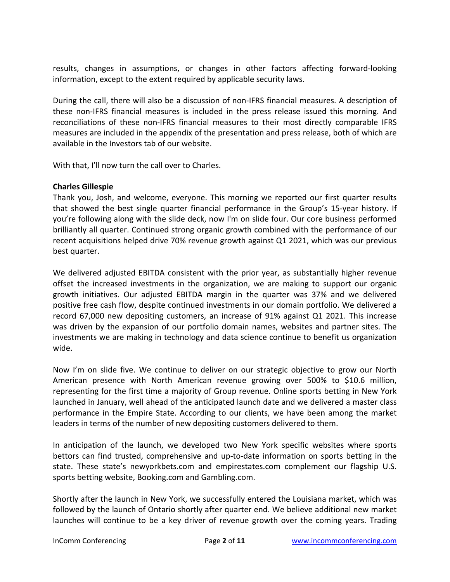results, changes in assumptions, or changes in other factors affecting forward-looking information, except to the extent required by applicable security laws.

During the call, there will also be a discussion of non-IFRS financial measures. A description of these non-IFRS financial measures is included in the press release issued this morning. And reconciliations of these non-IFRS financial measures to their most directly comparable IFRS measures are included in the appendix of the presentation and press release, both of which are available in the Investors tab of our website.

With that, I'll now turn the call over to Charles.

# **Charles Gillespie**

Thank you, Josh, and welcome, everyone. This morning we reported our first quarter results that showed the best single quarter financial performance in the Group's 15-year history. If you're following along with the slide deck, now I'm on slide four. Our core business performed brilliantly all quarter. Continued strong organic growth combined with the performance of our recent acquisitions helped drive 70% revenue growth against Q1 2021, which was our previous best quarter.

We delivered adjusted EBITDA consistent with the prior year, as substantially higher revenue offset the increased investments in the organization, we are making to support our organic growth initiatives. Our adjusted EBITDA margin in the quarter was 37% and we delivered positive free cash flow, despite continued investments in our domain portfolio. We delivered a record 67,000 new depositing customers, an increase of 91% against Q1 2021. This increase was driven by the expansion of our portfolio domain names, websites and partner sites. The investments we are making in technology and data science continue to benefit us organization wide.

Now I'm on slide five. We continue to deliver on our strategic objective to grow our North American presence with North American revenue growing over 500% to \$10.6 million, representing for the first time a majority of Group revenue. Online sports betting in New York launched in January, well ahead of the anticipated launch date and we delivered a master class performance in the Empire State. According to our clients, we have been among the market leaders in terms of the number of new depositing customers delivered to them.

In anticipation of the launch, we developed two New York specific websites where sports bettors can find trusted, comprehensive and up-to-date information on sports betting in the state. These state's newyorkbets.com and empirestates.com complement our flagship U.S. sports betting website, Booking.com and Gambling.com.

Shortly after the launch in New York, we successfully entered the Louisiana market, which was followed by the launch of Ontario shortly after quarter end. We believe additional new market launches will continue to be a key driver of revenue growth over the coming years. Trading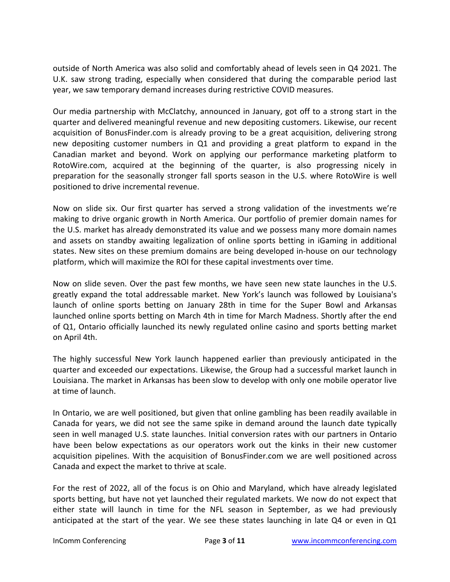outside of North America was also solid and comfortably ahead of levels seen in Q4 2021. The U.K. saw strong trading, especially when considered that during the comparable period last year, we saw temporary demand increases during restrictive COVID measures.

Our media partnership with McClatchy, announced in January, got off to a strong start in the quarter and delivered meaningful revenue and new depositing customers. Likewise, our recent acquisition of BonusFinder.com is already proving to be a great acquisition, delivering strong new depositing customer numbers in Q1 and providing a great platform to expand in the Canadian market and beyond. Work on applying our performance marketing platform to RotoWire.com, acquired at the beginning of the quarter, is also progressing nicely in preparation for the seasonally stronger fall sports season in the U.S. where RotoWire is well positioned to drive incremental revenue.

Now on slide six. Our first quarter has served a strong validation of the investments we're making to drive organic growth in North America. Our portfolio of premier domain names for the U.S. market has already demonstrated its value and we possess many more domain names and assets on standby awaiting legalization of online sports betting in iGaming in additional states. New sites on these premium domains are being developed in-house on our technology platform, which will maximize the ROI for these capital investments over time.

Now on slide seven. Over the past few months, we have seen new state launches in the U.S. greatly expand the total addressable market. New York's launch was followed by Louisiana's launch of online sports betting on January 28th in time for the Super Bowl and Arkansas launched online sports betting on March 4th in time for March Madness. Shortly after the end of Q1, Ontario officially launched its newly regulated online casino and sports betting market on April 4th.

The highly successful New York launch happened earlier than previously anticipated in the quarter and exceeded our expectations. Likewise, the Group had a successful market launch in Louisiana. The market in Arkansas has been slow to develop with only one mobile operator live at time of launch.

In Ontario, we are well positioned, but given that online gambling has been readily available in Canada for years, we did not see the same spike in demand around the launch date typically seen in well managed U.S. state launches. Initial conversion rates with our partners in Ontario have been below expectations as our operators work out the kinks in their new customer acquisition pipelines. With the acquisition of BonusFinder.com we are well positioned across Canada and expect the market to thrive at scale.

For the rest of 2022, all of the focus is on Ohio and Maryland, which have already legislated sports betting, but have not yet launched their regulated markets. We now do not expect that either state will launch in time for the NFL season in September, as we had previously anticipated at the start of the year. We see these states launching in late Q4 or even in Q1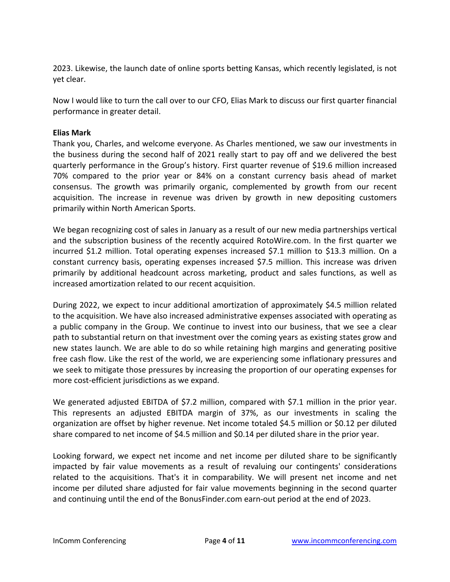2023. Likewise, the launch date of online sports betting Kansas, which recently legislated, is not yet clear.

Now I would like to turn the call over to our CFO, Elias Mark to discuss our first quarter financial performance in greater detail.

# **Elias Mark**

Thank you, Charles, and welcome everyone. As Charles mentioned, we saw our investments in the business during the second half of 2021 really start to pay off and we delivered the best quarterly performance in the Group's history. First quarter revenue of \$19.6 million increased 70% compared to the prior year or 84% on a constant currency basis ahead of market consensus. The growth was primarily organic, complemented by growth from our recent acquisition. The increase in revenue was driven by growth in new depositing customers primarily within North American Sports.

We began recognizing cost of sales in January as a result of our new media partnerships vertical and the subscription business of the recently acquired RotoWire.com. In the first quarter we incurred \$1.2 million. Total operating expenses increased \$7.1 million to \$13.3 million. On a constant currency basis, operating expenses increased \$7.5 million. This increase was driven primarily by additional headcount across marketing, product and sales functions, as well as increased amortization related to our recent acquisition.

During 2022, we expect to incur additional amortization of approximately \$4.5 million related to the acquisition. We have also increased administrative expenses associated with operating as a public company in the Group. We continue to invest into our business, that we see a clear path to substantial return on that investment over the coming years as existing states grow and new states launch. We are able to do so while retaining high margins and generating positive free cash flow. Like the rest of the world, we are experiencing some inflationary pressures and we seek to mitigate those pressures by increasing the proportion of our operating expenses for more cost-efficient jurisdictions as we expand.

We generated adjusted EBITDA of \$7.2 million, compared with \$7.1 million in the prior year. This represents an adjusted EBITDA margin of 37%, as our investments in scaling the organization are offset by higher revenue. Net income totaled \$4.5 million or \$0.12 per diluted share compared to net income of \$4.5 million and \$0.14 per diluted share in the prior year.

Looking forward, we expect net income and net income per diluted share to be significantly impacted by fair value movements as a result of revaluing our contingents' considerations related to the acquisitions. That's it in comparability. We will present net income and net income per diluted share adjusted for fair value movements beginning in the second quarter and continuing until the end of the BonusFinder.com earn-out period at the end of 2023.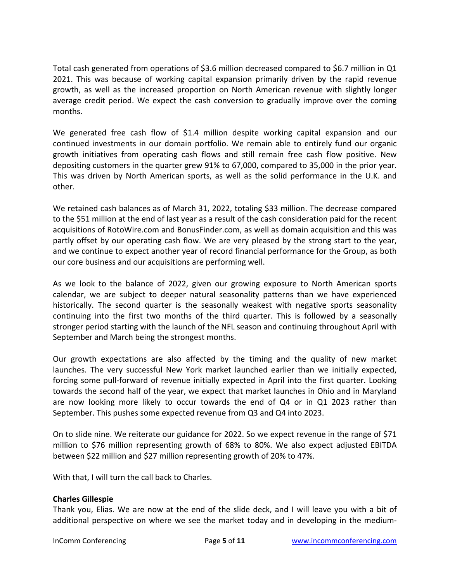Total cash generated from operations of \$3.6 million decreased compared to \$6.7 million in Q1 2021. This was because of working capital expansion primarily driven by the rapid revenue growth, as well as the increased proportion on North American revenue with slightly longer average credit period. We expect the cash conversion to gradually improve over the coming months.

We generated free cash flow of \$1.4 million despite working capital expansion and our continued investments in our domain portfolio. We remain able to entirely fund our organic growth initiatives from operating cash flows and still remain free cash flow positive. New depositing customers in the quarter grew 91% to 67,000, compared to 35,000 in the prior year. This was driven by North American sports, as well as the solid performance in the U.K. and other.

We retained cash balances as of March 31, 2022, totaling \$33 million. The decrease compared to the \$51 million at the end of last year as a result of the cash consideration paid for the recent acquisitions of RotoWire.com and BonusFinder.com, as well as domain acquisition and this was partly offset by our operating cash flow. We are very pleased by the strong start to the year, and we continue to expect another year of record financial performance for the Group, as both our core business and our acquisitions are performing well.

As we look to the balance of 2022, given our growing exposure to North American sports calendar, we are subject to deeper natural seasonality patterns than we have experienced historically. The second quarter is the seasonally weakest with negative sports seasonality continuing into the first two months of the third quarter. This is followed by a seasonally stronger period starting with the launch of the NFL season and continuing throughout April with September and March being the strongest months.

Our growth expectations are also affected by the timing and the quality of new market launches. The very successful New York market launched earlier than we initially expected, forcing some pull-forward of revenue initially expected in April into the first quarter. Looking towards the second half of the year, we expect that market launches in Ohio and in Maryland are now looking more likely to occur towards the end of Q4 or in Q1 2023 rather than September. This pushes some expected revenue from Q3 and Q4 into 2023.

On to slide nine. We reiterate our guidance for 2022. So we expect revenue in the range of \$71 million to \$76 million representing growth of 68% to 80%. We also expect adjusted EBITDA between \$22 million and \$27 million representing growth of 20% to 47%.

With that, I will turn the call back to Charles.

## **Charles Gillespie**

Thank you, Elias. We are now at the end of the slide deck, and I will leave you with a bit of additional perspective on where we see the market today and in developing in the medium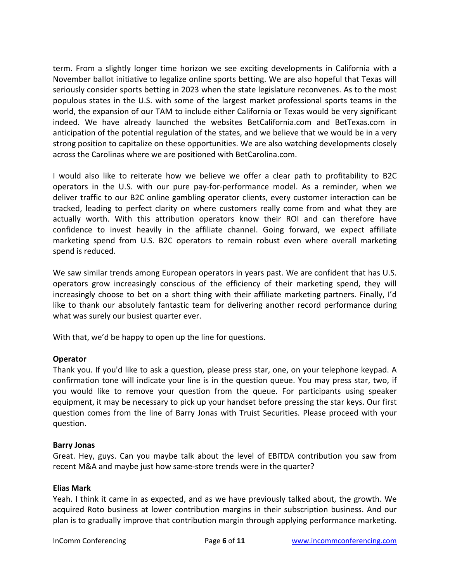term. From a slightly longer time horizon we see exciting developments in California with a November ballot initiative to legalize online sports betting. We are also hopeful that Texas will seriously consider sports betting in 2023 when the state legislature reconvenes. As to the most populous states in the U.S. with some of the largest market professional sports teams in the world, the expansion of our TAM to include either California or Texas would be very significant indeed. We have already launched the websites BetCalifornia.com and BetTexas.com in anticipation of the potential regulation of the states, and we believe that we would be in a very strong position to capitalize on these opportunities. We are also watching developments closely across the Carolinas where we are positioned with BetCarolina.com.

I would also like to reiterate how we believe we offer a clear path to profitability to B2C operators in the U.S. with our pure pay-for-performance model. As a reminder, when we deliver traffic to our B2C online gambling operator clients, every customer interaction can be tracked, leading to perfect clarity on where customers really come from and what they are actually worth. With this attribution operators know their ROI and can therefore have confidence to invest heavily in the affiliate channel. Going forward, we expect affiliate marketing spend from U.S. B2C operators to remain robust even where overall marketing spend is reduced.

We saw similar trends among European operators in years past. We are confident that has U.S. operators grow increasingly conscious of the efficiency of their marketing spend, they will increasingly choose to bet on a short thing with their affiliate marketing partners. Finally, I'd like to thank our absolutely fantastic team for delivering another record performance during what was surely our busiest quarter ever.

With that, we'd be happy to open up the line for questions.

# **Operator**

Thank you. If you'd like to ask a question, please press star, one, on your telephone keypad. A confirmation tone will indicate your line is in the question queue. You may press star, two, if you would like to remove your question from the queue. For participants using speaker equipment, it may be necessary to pick up your handset before pressing the star keys. Our first question comes from the line of Barry Jonas with Truist Securities. Please proceed with your question.

# **Barry Jonas**

Great. Hey, guys. Can you maybe talk about the level of EBITDA contribution you saw from recent M&A and maybe just how same-store trends were in the quarter?

## **Elias Mark**

Yeah. I think it came in as expected, and as we have previously talked about, the growth. We acquired Roto business at lower contribution margins in their subscription business. And our plan is to gradually improve that contribution margin through applying performance marketing.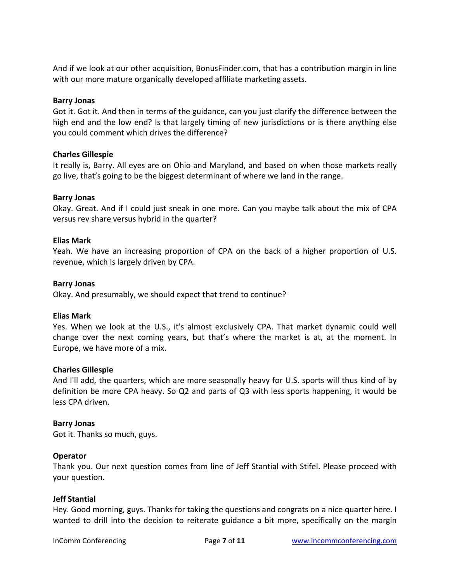And if we look at our other acquisition, BonusFinder.com, that has a contribution margin in line with our more mature organically developed affiliate marketing assets.

## **Barry Jonas**

Got it. Got it. And then in terms of the guidance, can you just clarify the difference between the high end and the low end? Is that largely timing of new jurisdictions or is there anything else you could comment which drives the difference?

# **Charles Gillespie**

It really is, Barry. All eyes are on Ohio and Maryland, and based on when those markets really go live, that's going to be the biggest determinant of where we land in the range.

# **Barry Jonas**

Okay. Great. And if I could just sneak in one more. Can you maybe talk about the mix of CPA versus rev share versus hybrid in the quarter?

# **Elias Mark**

Yeah. We have an increasing proportion of CPA on the back of a higher proportion of U.S. revenue, which is largely driven by CPA.

## **Barry Jonas**

Okay. And presumably, we should expect that trend to continue?

## **Elias Mark**

Yes. When we look at the U.S., it's almost exclusively CPA. That market dynamic could well change over the next coming years, but that's where the market is at, at the moment. In Europe, we have more of a mix.

## **Charles Gillespie**

And I'll add, the quarters, which are more seasonally heavy for U.S. sports will thus kind of by definition be more CPA heavy. So Q2 and parts of Q3 with less sports happening, it would be less CPA driven.

## **Barry Jonas**

Got it. Thanks so much, guys.

## **Operator**

Thank you. Our next question comes from line of Jeff Stantial with Stifel. Please proceed with your question.

## **Jeff Stantial**

Hey. Good morning, guys. Thanks for taking the questions and congrats on a nice quarter here. I wanted to drill into the decision to reiterate guidance a bit more, specifically on the margin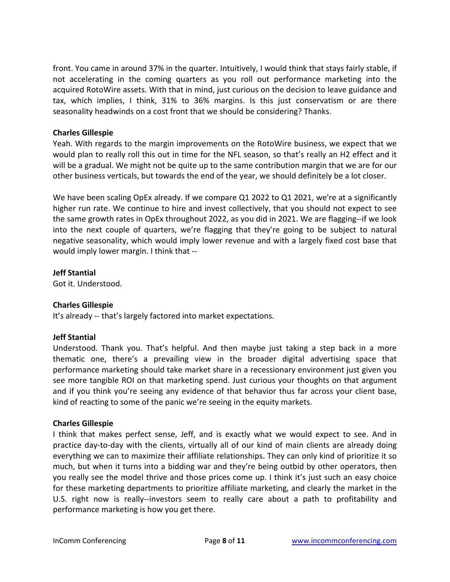front. You came in around 37% in the quarter. Intuitively, I would think that stays fairly stable, if not accelerating in the coming quarters as you roll out performance marketing into the acquired RotoWire assets. With that in mind, just curious on the decision to leave guidance and tax, which implies, I think, 31% to 36% margins. Is this just conservatism or are there seasonality headwinds on a cost front that we should be considering? Thanks.

# **Charles Gillespie**

Yeah. With regards to the margin improvements on the RotoWire business, we expect that we would plan to really roll this out in time for the NFL season, so that's really an H2 effect and it will be a gradual. We might not be quite up to the same contribution margin that we are for our other business verticals, but towards the end of the year, we should definitely be a lot closer.

We have been scaling OpEx already. If we compare Q1 2022 to Q1 2021, we're at a significantly higher run rate. We continue to hire and invest collectively, that you should not expect to see the same growth rates in OpEx throughout 2022, as you did in 2021. We are flagging--if we look into the next couple of quarters, we're flagging that they're going to be subject to natural negative seasonality, which would imply lower revenue and with a largely fixed cost base that would imply lower margin. I think that --

# **Jeff Stantial**

Got it. Understood.

# **Charles Gillespie**

It's already -- that's largely factored into market expectations.

# **Jeff Stantial**

Understood. Thank you. That's helpful. And then maybe just taking a step back in a more thematic one, there's a prevailing view in the broader digital advertising space that performance marketing should take market share in a recessionary environment just given you see more tangible ROI on that marketing spend. Just curious your thoughts on that argument and if you think you're seeing any evidence of that behavior thus far across your client base, kind of reacting to some of the panic we're seeing in the equity markets.

# **Charles Gillespie**

I think that makes perfect sense, Jeff, and is exactly what we would expect to see. And in practice day-to-day with the clients, virtually all of our kind of main clients are already doing everything we can to maximize their affiliate relationships. They can only kind of prioritize it so much, but when it turns into a bidding war and they're being outbid by other operators, then you really see the model thrive and those prices come up. I think it's just such an easy choice for these marketing departments to prioritize affiliate marketing, and clearly the market in the U.S. right now is really--investors seem to really care about a path to profitability and performance marketing is how you get there.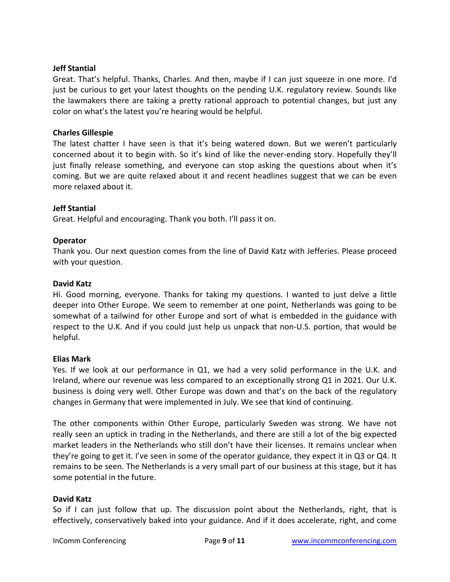## **Jeff Stantial**

Great. That's helpful. Thanks, Charles. And then, maybe if I can just squeeze in one more. I'd just be curious to get your latest thoughts on the pending U.K. regulatory review. Sounds like the lawmakers there are taking a pretty rational approach to potential changes, but just any color on what's the latest you're hearing would be helpful.

### **Charles Gillespie**

The latest chatter I have seen is that it's being watered down. But we weren't particularly concerned about it to begin with. So it's kind of like the never-ending story. Hopefully they'll just finally release something, and everyone can stop asking the questions about when it's coming. But we are quite relaxed about it and recent headlines suggest that we can be even more relaxed about it.

### **Jeff Stantial**

Great. Helpful and encouraging. Thank you both. I'll pass it on.

### **Operator**

Thank you. Our next question comes from the line of David Katz with Jefferies. Please proceed with your question.

### **David Katz**

Hi. Good morning, everyone. Thanks for taking my questions. I wanted to just delve a little deeper into Other Europe. We seem to remember at one point, Netherlands was going to be somewhat of a tailwind for other Europe and sort of what is embedded in the guidance with respect to the U.K. And if you could just help us unpack that non-U.S. portion, that would be helpful.

#### **Elias Mark**

Yes. If we look at our performance in Q1, we had a very solid performance in the U.K. and Ireland, where our revenue was less compared to an exceptionally strong Q1 in 2021. Our U.K. business is doing very well. Other Europe was down and that's on the back of the regulatory changes in Germany that were implemented in July. We see that kind of continuing.

The other components within Other Europe, particularly Sweden was strong. We have not really seen an uptick in trading in the Netherlands, and there are still a lot of the big expected market leaders in the Netherlands who still don't have their licenses. It remains unclear when they're going to get it. I've seen in some of the operator guidance, they expect it in Q3 or Q4. It remains to be seen. The Netherlands is a very small part of our business at this stage, but it has some potential in the future.

#### **David Katz**

So if I can just follow that up. The discussion point about the Netherlands, right, that is effectively, conservatively baked into your guidance. And if it does accelerate, right, and come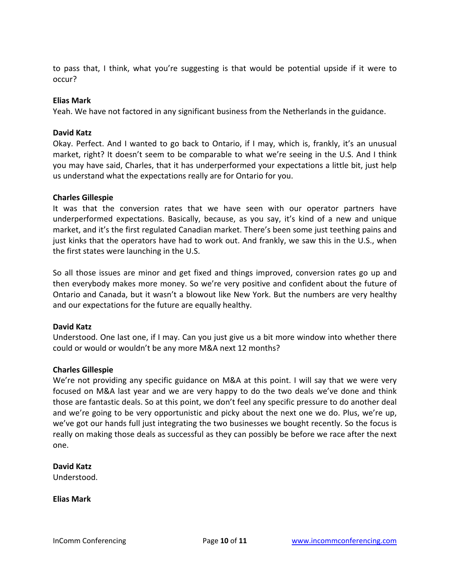to pass that, I think, what you're suggesting is that would be potential upside if it were to occur?

## **Elias Mark**

Yeah. We have not factored in any significant business from the Netherlands in the guidance.

### **David Katz**

Okay. Perfect. And I wanted to go back to Ontario, if I may, which is, frankly, it's an unusual market, right? It doesn't seem to be comparable to what we're seeing in the U.S. And I think you may have said, Charles, that it has underperformed your expectations a little bit, just help us understand what the expectations really are for Ontario for you.

### **Charles Gillespie**

It was that the conversion rates that we have seen with our operator partners have underperformed expectations. Basically, because, as you say, it's kind of a new and unique market, and it's the first regulated Canadian market. There's been some just teething pains and just kinks that the operators have had to work out. And frankly, we saw this in the U.S., when the first states were launching in the U.S.

So all those issues are minor and get fixed and things improved, conversion rates go up and then everybody makes more money. So we're very positive and confident about the future of Ontario and Canada, but it wasn't a blowout like New York. But the numbers are very healthy and our expectations for the future are equally healthy.

## **David Katz**

Understood. One last one, if I may. Can you just give us a bit more window into whether there could or would or wouldn't be any more M&A next 12 months?

## **Charles Gillespie**

We're not providing any specific guidance on M&A at this point. I will say that we were very focused on M&A last year and we are very happy to do the two deals we've done and think those are fantastic deals. So at this point, we don't feel any specific pressure to do another deal and we're going to be very opportunistic and picky about the next one we do. Plus, we're up, we've got our hands full just integrating the two businesses we bought recently. So the focus is really on making those deals as successful as they can possibly be before we race after the next one.

## **David Katz**

Understood.

**Elias Mark**